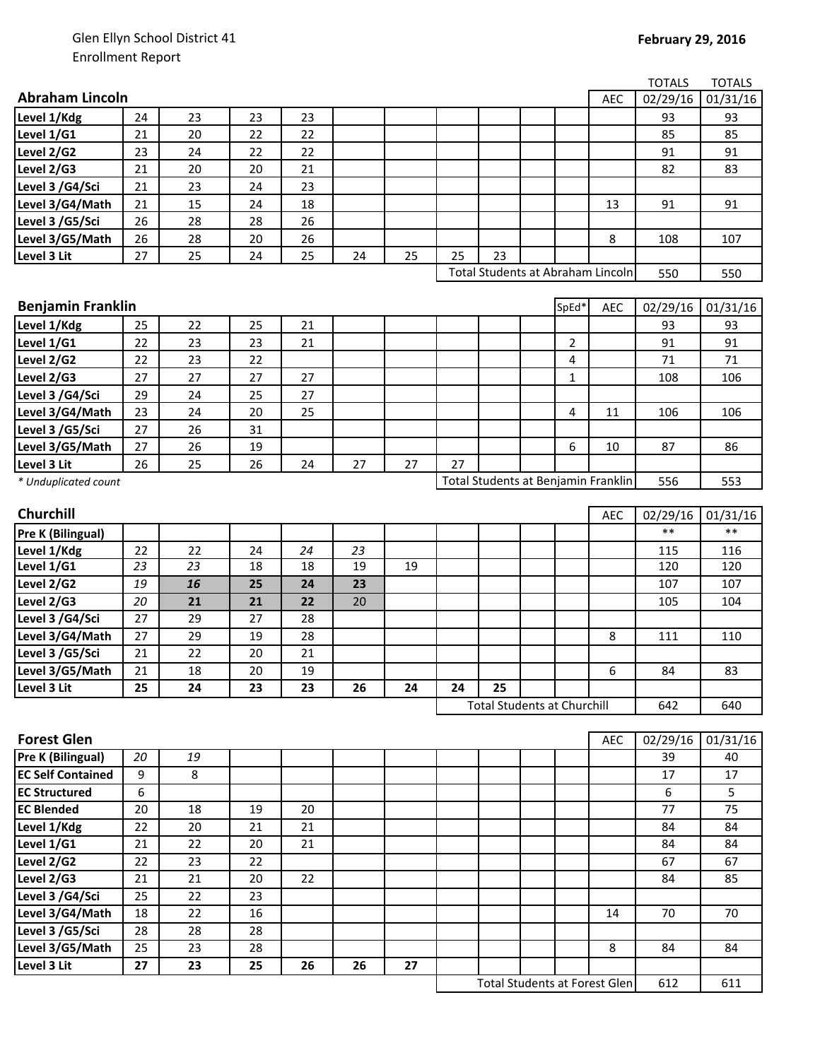|                          |    |    |    |    |    |    |    |                                      |       |            | <b>TOTALS</b> | <b>TOTALS</b> |
|--------------------------|----|----|----|----|----|----|----|--------------------------------------|-------|------------|---------------|---------------|
| <b>Abraham Lincoln</b>   |    |    |    |    |    |    |    |                                      |       | <b>AEC</b> | 02/29/16      | 01/31/16      |
| Level 1/Kdg              | 24 | 23 | 23 | 23 |    |    |    |                                      |       |            | 93            | 93            |
| Level 1/G1               | 21 | 20 | 22 | 22 |    |    |    |                                      |       |            | 85            | 85            |
| Level 2/G2               | 23 | 24 | 22 | 22 |    |    |    |                                      |       |            | 91            | 91            |
| Level 2/G3               | 21 | 20 | 20 | 21 |    |    |    |                                      |       |            | 82            | 83            |
| Level 3 /G4/Sci          | 21 | 23 | 24 | 23 |    |    |    |                                      |       |            |               |               |
| Level 3/G4/Math          | 21 | 15 | 24 | 18 |    |    |    |                                      |       | 13         | 91            | 91            |
| Level 3 /G5/Sci          | 26 | 28 | 28 | 26 |    |    |    |                                      |       |            |               |               |
| Level 3/G5/Math          | 26 | 28 | 20 | 26 |    |    |    |                                      |       | 8          | 108           | 107           |
| Level 3 Lit              | 27 | 25 | 24 | 25 | 24 | 25 | 25 | 23                                   |       |            |               |               |
|                          |    |    |    |    |    |    |    | Total Students at Abraham Lincoln    |       |            | 550           | 550           |
|                          |    |    |    |    |    |    |    |                                      |       |            |               |               |
| <b>Benjamin Franklin</b> |    |    |    |    |    |    |    |                                      | SpEd* | <b>AEC</b> | 02/29/16      | 01/31/16      |
| Level 1/Kdg              | 25 | 22 | 25 | 21 |    |    |    |                                      |       |            | 93            | 93            |
| Level 1/G1               | 22 | 23 | 23 | 21 |    |    |    |                                      | 2     |            | 91            | 91            |
| Level 2/G2               | 22 | 23 | 22 |    |    |    |    |                                      | 4     |            | 71            | 71            |
| Level 2/G3               | 27 | 27 | 27 | 27 |    |    |    |                                      | 1     |            | 108           | 106           |
| Level 3 /G4/Sci          | 29 | 24 | 25 | 27 |    |    |    |                                      |       |            |               |               |
| Level 3/G4/Math          | 23 | 24 | 20 | 25 |    |    |    |                                      | 4     | 11         | 106           | 106           |
| Level 3 /G5/Sci          | 27 | 26 | 31 |    |    |    |    |                                      |       |            |               |               |
| Level 3/G5/Math          | 27 | 26 | 19 |    |    |    |    |                                      | 6     | 10         | 87            | 86            |
| Level 3 Lit              | 26 | 25 | 26 | 24 | 27 | 27 | 27 |                                      |       |            |               |               |
| * Unduplicated count     |    |    |    |    |    |    |    | Total Students at Benjamin Franklin  |       |            | 556           | 553           |
|                          |    |    |    |    |    |    |    |                                      |       |            |               |               |
| Churchill                |    |    |    |    |    |    |    |                                      |       | <b>AEC</b> | 02/29/16      | 01/31/16      |
| <b>Pre K (Bilingual)</b> |    |    |    |    |    |    |    |                                      |       |            | $***$         | $***$         |
| Level 1/Kdg              | 22 | 22 | 24 | 24 | 23 |    |    |                                      |       |            | 115           | 116           |
| Level 1/G1               | 23 | 23 | 18 | 18 | 19 | 19 |    |                                      |       |            | 120           | 120           |
| Level 2/G2               | 19 | 16 | 25 | 24 | 23 |    |    |                                      |       |            | 107           | 107           |
| Level 2/G3               | 20 | 21 | 21 | 22 | 20 |    |    |                                      |       |            | 105           | 104           |
| Level 3 /G4/Sci          | 27 | 29 | 27 | 28 |    |    |    |                                      |       |            |               |               |
| Level 3/G4/Math          | 27 | 29 | 19 | 28 |    |    |    |                                      |       | 8          | 111           | 110           |
| Level 3 /G5/Sci          | 21 | 22 | 20 | 21 |    |    |    |                                      |       |            |               |               |
| Level 3/G5/Math          | 21 | 18 | 20 | 19 |    |    |    |                                      |       | 6          | 84            | 83            |
| Level 3 Lit              | 25 | 24 | 23 | 23 | 26 | 24 | 24 | 25                                   |       |            |               |               |
|                          |    |    |    |    |    |    |    | <b>Total Students at Churchill</b>   |       |            | 642           | 640           |
|                          |    |    |    |    |    |    |    |                                      |       |            |               |               |
| <b>Forest Glen</b>       |    |    |    |    |    |    |    |                                      |       | <b>AEC</b> | 02/29/16      | 01/31/16      |
| <b>Pre K (Bilingual)</b> | 20 | 19 |    |    |    |    |    |                                      |       |            | 39            | 40            |
| <b>EC Self Contained</b> | 9  | 8  |    |    |    |    |    |                                      |       |            | 17            | 17            |
| <b>EC Structured</b>     | 6  |    |    |    |    |    |    |                                      |       |            | 6             | 5             |
| <b>EC Blended</b>        | 20 | 18 | 19 | 20 |    |    |    |                                      |       |            | 77            | 75            |
| Level 1/Kdg              | 22 | 20 | 21 | 21 |    |    |    |                                      |       |            | 84            | 84            |
| Level 1/G1               | 21 | 22 | 20 | 21 |    |    |    |                                      |       |            | 84            | 84            |
| Level 2/G2               | 22 | 23 | 22 |    |    |    |    |                                      |       |            | 67            | 67            |
| Level 2/G3               | 21 | 21 | 20 | 22 |    |    |    |                                      |       |            | 84            | 85            |
| Level 3 /G4/Sci          | 25 | 22 | 23 |    |    |    |    |                                      |       |            |               |               |
| Level 3/G4/Math          | 18 | 22 | 16 |    |    |    |    |                                      |       | 14         | 70            | 70            |
| Level 3 /G5/Sci          | 28 | 28 | 28 |    |    |    |    |                                      |       |            |               |               |
| Level 3/G5/Math          | 25 | 23 | 28 |    |    |    |    |                                      |       | 8          | 84            | 84            |
| Level 3 Lit              | 27 | 23 | 25 | 26 | 26 | 27 |    |                                      |       |            |               |               |
|                          |    |    |    |    |    |    |    | <b>Total Students at Forest Glen</b> |       |            | 612           | 611           |
|                          |    |    |    |    |    |    |    |                                      |       |            |               |               |